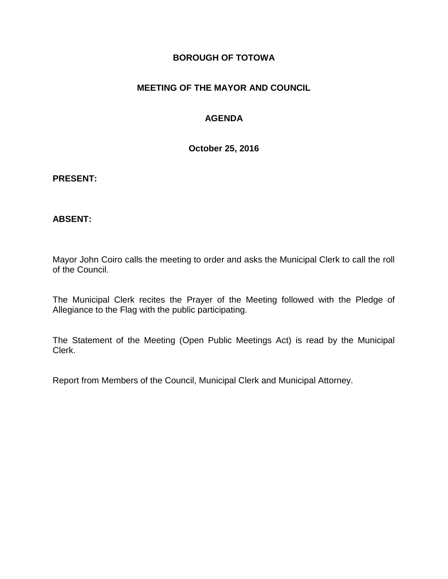#### **BOROUGH OF TOTOWA**

### **MEETING OF THE MAYOR AND COUNCIL**

### **AGENDA**

**October 25, 2016**

#### **PRESENT:**

#### **ABSENT:**

Mayor John Coiro calls the meeting to order and asks the Municipal Clerk to call the roll of the Council.

The Municipal Clerk recites the Prayer of the Meeting followed with the Pledge of Allegiance to the Flag with the public participating.

The Statement of the Meeting (Open Public Meetings Act) is read by the Municipal Clerk.

Report from Members of the Council, Municipal Clerk and Municipal Attorney.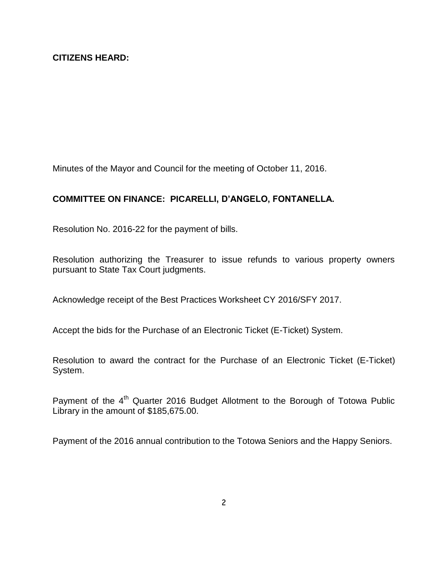Minutes of the Mayor and Council for the meeting of October 11, 2016.

# **COMMITTEE ON FINANCE: PICARELLI, D'ANGELO, FONTANELLA.**

Resolution No. 2016-22 for the payment of bills.

Resolution authorizing the Treasurer to issue refunds to various property owners pursuant to State Tax Court judgments.

Acknowledge receipt of the Best Practices Worksheet CY 2016/SFY 2017.

Accept the bids for the Purchase of an Electronic Ticket (E-Ticket) System.

Resolution to award the contract for the Purchase of an Electronic Ticket (E-Ticket) System.

Payment of the 4<sup>th</sup> Quarter 2016 Budget Allotment to the Borough of Totowa Public Library in the amount of \$185,675.00.

Payment of the 2016 annual contribution to the Totowa Seniors and the Happy Seniors.